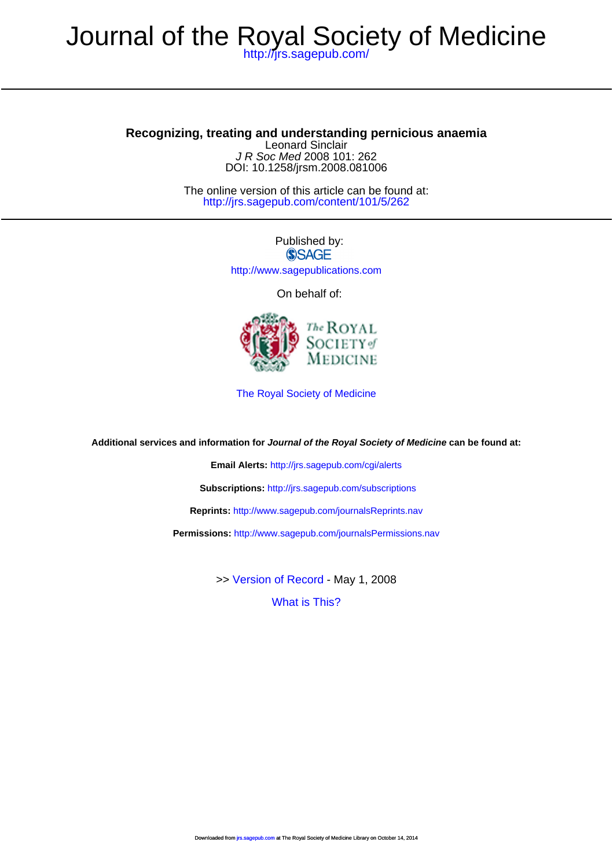## **Recognizing, treating and understanding pernicious anaemia**

DOI: 10.1258/jrsm.2008.081006 J R Soc Med 2008 101: 262 Leonard Sinclair

<http://jrs.sagepub.com/content/101/5/262> The online version of this article can be found at:

> Published by: **SSAGE** <http://www.sagepublications.com>

> > On behalf of:



[The Royal Society of Medicine](http://www.rsm.ac.uk/)

**Additional services and information for Journal of the Royal Society of Medicine can be found at:**

**Email Alerts:** <http://jrs.sagepub.com/cgi/alerts>

**Subscriptions:** <http://jrs.sagepub.com/subscriptions>

**Reprints:** <http://www.sagepub.com/journalsReprints.nav>

**Permissions:** <http://www.sagepub.com/journalsPermissions.nav>

>> [Version of Record -](http://jrs.sagepub.com/content/101/5/262.full.pdf) May 1, 2008

[What is This?](http://online.sagepub.com/site/sphelp/vorhelp.xhtml)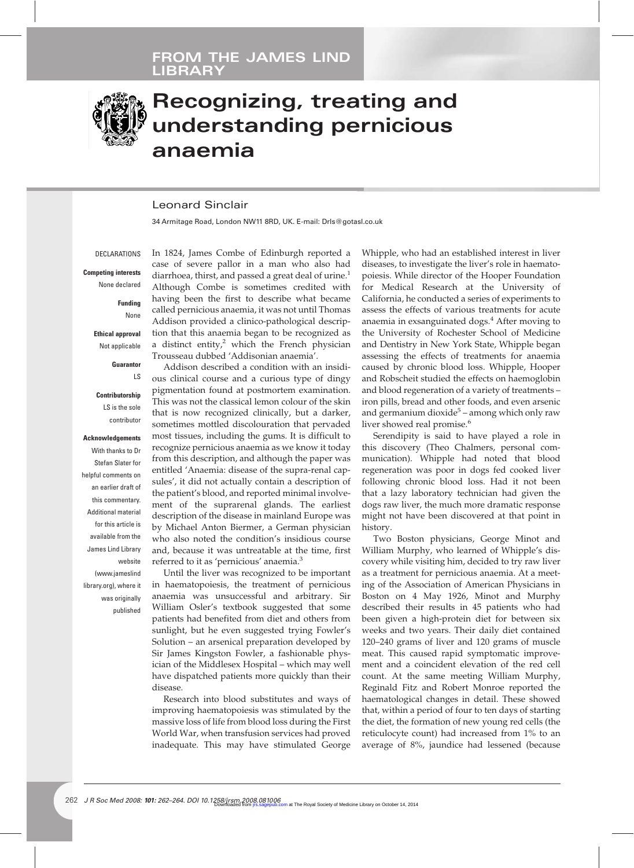

# **Recognizing, treating and understanding pernicious anaemia**

## Leonard Sinclair

34 Armitage Road, London NW11 8RD, UK. E-mail: Drls@gotasl.co.uk

**DECLARATIONS** 

**Competing interests** None declared

> **Funding** None

**Ethical approval** Not applicable

**Guarantor**

LS

**Contributorship**

LS is the sole contributor

#### **Acknowledgements**

With thanks to Dr Stefan Slater for helpful comments on an earlier draft of this commentary. Additional material for this article is available from the James Lind Library website (www.jameslind library.org), where it was originally published In 1824, James Combe of Edinburgh reported a case of severe pallor in a man who also had diarrhoea, thirst, and passed a great deal of urine.<sup>1</sup> Although Combe is sometimes credited with having been the first to describe what became called pernicious anaemia, it was not until Thomas Addison provided a clinico-pathological description that this anaemia began to be recognized as a distinct entity, $^2$  which the French physician Trousseau dubbed 'Addisonian anaemia'.

Addison described a condition with an insidious clinical course and a curious type of dingy pigmentation found at postmortem examination. This was not the classical lemon colour of the skin that is now recognized clinically, but a darker, sometimes mottled discolouration that pervaded most tissues, including the gums. It is difficult to recognize pernicious anaemia as we know it today from this description, and although the paper was entitled 'Anaemia: disease of the supra-renal capsules', it did not actually contain a description of the patient's blood, and reported minimal involvement of the suprarenal glands. The earliest description of the disease in mainland Europe was by Michael Anton Biermer, a German physician who also noted the condition's insidious course and, because it was untreatable at the time, first referred to it as 'pernicious' anaemia.<sup>3</sup>

Until the liver was recognized to be important in haematopoiesis, the treatment of pernicious anaemia was unsuccessful and arbitrary. Sir William Osler's textbook suggested that some patients had benefited from diet and others from sunlight, but he even suggested trying Fowler's Solution – an arsenical preparation developed by Sir James Kingston Fowler, a fashionable physician of the Middlesex Hospital – which may well have dispatched patients more quickly than their disease.

Research into blood substitutes and ways of improving haematopoiesis was stimulated by the massive loss of life from blood loss during the First World War, when transfusion services had proved inadequate. This may have stimulated George

Whipple, who had an established interest in liver diseases, to investigate the liver's role in haematopoiesis. While director of the Hooper Foundation for Medical Research at the University of California, he conducted a series of experiments to assess the effects of various treatments for acute anaemia in exsanguinated dogs.<sup>4</sup> After moving to the University of Rochester School of Medicine and Dentistry in New York State, Whipple began assessing the effects of treatments for anaemia caused by chronic blood loss. Whipple, Hooper and Robscheit studied the effects on haemoglobin and blood regeneration of a variety of treatments – iron pills, bread and other foods, and even arsenic and germanium dioxide<sup>5</sup> – among which only raw liver showed real promise.<sup>6</sup>

Serendipity is said to have played a role in this discovery (Theo Chalmers, personal communication). Whipple had noted that blood regeneration was poor in dogs fed cooked liver following chronic blood loss. Had it not been that a lazy laboratory technician had given the dogs raw liver, the much more dramatic response might not have been discovered at that point in history.

Two Boston physicians, George Minot and William Murphy, who learned of Whipple's discovery while visiting him, decided to try raw liver as a treatment for pernicious anaemia. At a meeting of the Association of American Physicians in Boston on 4 May 1926, Minot and Murphy described their results in 45 patients who had been given a high-protein diet for between six weeks and two years. Their daily diet contained 120–240 grams of liver and 120 grams of muscle meat. This caused rapid symptomatic improvement and a coincident elevation of the red cell count. At the same meeting William Murphy, Reginald Fitz and Robert Monroe reported the haematological changes in detail. These showed that, within a period of four to ten days of starting the diet, the formation of new young red cells (the reticulocyte count) had increased from 1% to an average of 8%, jaundice had lessened (because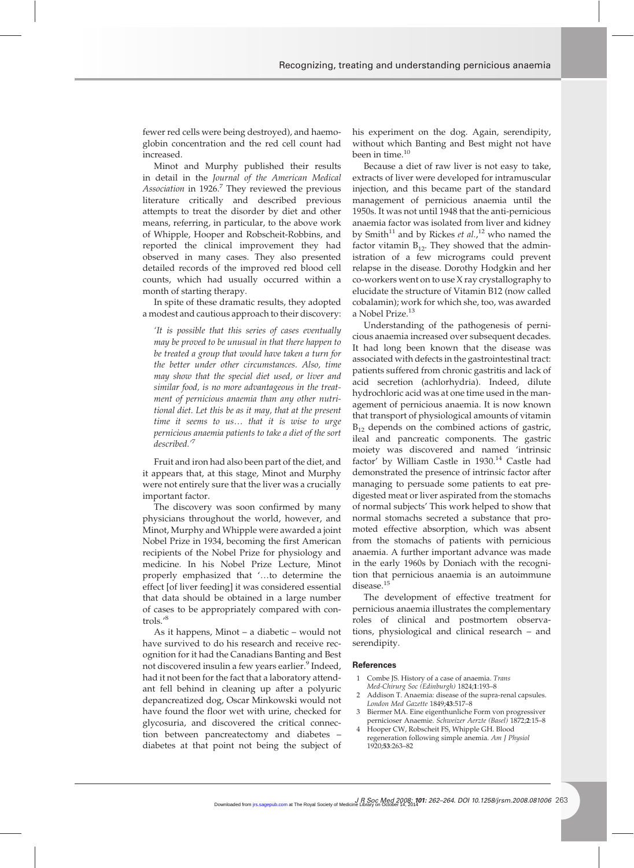fewer red cells were being destroyed), and haemoglobin concentration and the red cell count had increased.

Minot and Murphy published their results in detail in the *Journal of the American Medical Association* in 1926.<sup>7</sup> They reviewed the previous literature critically and described previous attempts to treat the disorder by diet and other means, referring, in particular, to the above work of Whipple, Hooper and Robscheit-Robbins, and reported the clinical improvement they had observed in many cases. They also presented detailed records of the improved red blood cell counts, which had usually occurred within a month of starting therapy.

In spite of these dramatic results, they adopted a modest and cautious approach to their discovery:

*'It is possible that this series of cases eventually may be proved to be unusual in that there happen to be treated a group that would have taken a turn for the better under other circumstances. Also, time may show that the special diet used, or liver and similar food, is no more advantageous in the treatment of pernicious anaemia than any other nutritional diet. Let this be as it may, that at the present time it seems to us*. *that it is wise to urge pernicious anaemia patients to take a diet of the sort described.'*<sup>7</sup>

Fruit and iron had also been part of the diet, and it appears that, at this stage, Minot and Murphy were not entirely sure that the liver was a crucially important factor.

The discovery was soon confirmed by many physicians throughout the world, however, and Minot, Murphy and Whipple were awarded a joint Nobel Prize in 1934, becoming the first American recipients of the Nobel Prize for physiology and medicine. In his Nobel Prize Lecture, Minot properly emphasized that '...to determine the effect [of liver feeding] it was considered essential that data should be obtained in a large number of cases to be appropriately compared with controls.'<sup>8</sup>

As it happens, Minot – a diabetic – would not have survived to do his research and receive recognition for it had the Canadians Banting and Best not discovered insulin a few years earlier.<sup>9</sup> Indeed, had it not been for the fact that a laboratory attendant fell behind in cleaning up after a polyuric depancreatized dog, Oscar Minkowski would not have found the floor wet with urine, checked for glycosuria, and discovered the critical connection between pancreatectomy and diabetes – diabetes at that point not being the subject of his experiment on the dog. Again, serendipity, without which Banting and Best might not have been in time.<sup>10</sup>

Because a diet of raw liver is not easy to take, extracts of liver were developed for intramuscular injection, and this became part of the standard management of pernicious anaemia until the 1950s. It was not until 1948 that the anti-pernicious anaemia factor was isolated from liver and kidney by Smith<sup>11</sup> and by Rickes *et al.*,<sup>12</sup> who named the factor vitamin  $B_{12}$ . They showed that the administration of a few micrograms could prevent relapse in the disease. Dorothy Hodgkin and her co-workers went on to use X ray crystallography to elucidate the structure of Vitamin B12 (now called cobalamin); work for which she, too, was awarded a Nobel Prize.<sup>13</sup>

Understanding of the pathogenesis of pernicious anaemia increased over subsequent decades. It had long been known that the disease was associated with defects in the gastrointestinal tract: patients suffered from chronic gastritis and lack of acid secretion (achlorhydria). Indeed, dilute hydrochloric acid was at one time used in the management of pernicious anaemia. It is now known that transport of physiological amounts of vitamin  $B_{12}$  depends on the combined actions of gastric, ileal and pancreatic components. The gastric moiety was discovered and named 'intrinsic factor' by William Castle in 1930.<sup>14</sup> Castle had demonstrated the presence of intrinsic factor after managing to persuade some patients to eat predigested meat or liver aspirated from the stomachs of normal subjects' This work helped to show that normal stomachs secreted a substance that promoted effective absorption, which was absent from the stomachs of patients with pernicious anaemia. A further important advance was made in the early 1960s by Doniach with the recognition that pernicious anaemia is an autoimmune disease.<sup>15</sup>

The development of effective treatment for pernicious anaemia illustrates the complementary roles of clinical and postmortem observations, physiological and clinical research – and serendipity.

### **References**

- 1 Combe JS. History of a case of anaemia. *Trans*
- *Med-Chirurg Soc (Edinburgh)* 1824;**1**:193–8 2 Addison T. Anaemia: disease of the supra-renal capsules.
- *London Med Gazette* 1849;**43**:517–8 3 Biermer MA. Eine eigenthunliche Form von progressiver
- pernicioser Anaemie. *Schweizer Aerzte (Basel)* 1872;**2**:15–8 4 Hooper CW, Robscheit FS, Whipple GH. Blood
- regeneration following simple anemia. *Am J Physiol* 1920;**53**:263–82